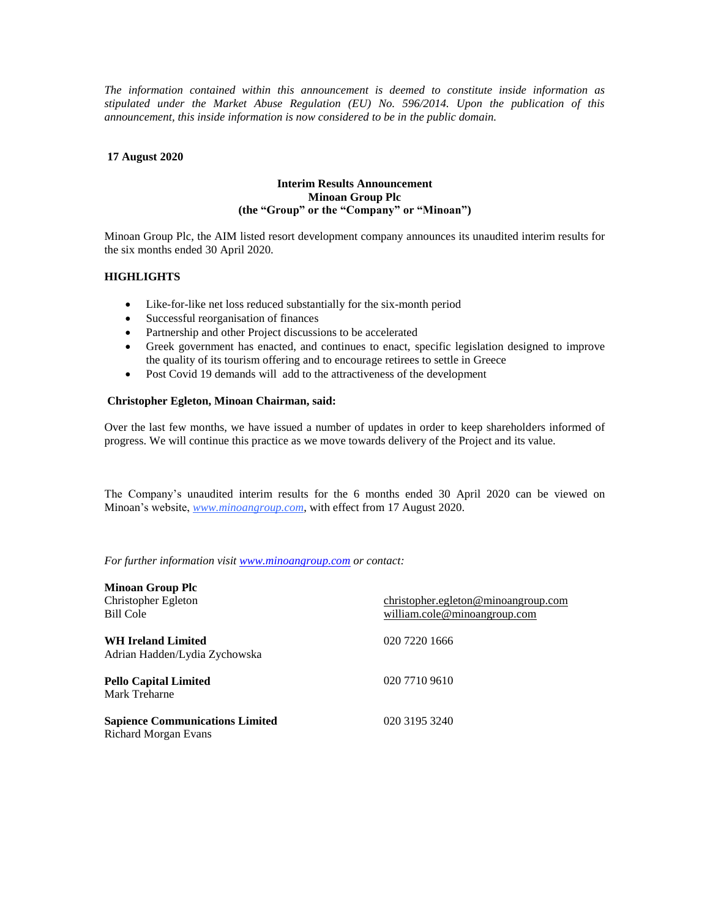*The information contained within this announcement is deemed to constitute inside information as stipulated under the Market Abuse Regulation (EU) No. 596/2014. Upon the publication of this announcement, this inside information is now considered to be in the public domain.*

## **17 August 2020**

## **Interim Results Announcement Minoan Group Plc (the "Group" or the "Company" or "Minoan")**

Minoan Group Plc, the AIM listed resort development company announces its unaudited interim results for the six months ended 30 April 2020.

# **HIGHLIGHTS**

- Like-for-like net loss reduced substantially for the six-month period
- Successful reorganisation of finances
- Partnership and other Project discussions to be accelerated
- Greek government has enacted, and continues to enact, specific legislation designed to improve the quality of its tourism offering and to encourage retirees to settle in Greece
- Post Covid 19 demands will add to the attractiveness of the development

## **Christopher Egleton, Minoan Chairman, said:**

Over the last few months, we have issued a number of updates in order to keep shareholders informed of progress. We will continue this practice as we move towards delivery of the Project and its value.

The Company's unaudited interim results for the 6 months ended 30 April 2020 can be viewed on Minoan's website, *[www.minoangroup.com](http://www.minoangroup.com/)*, with effect from 17 August 2020.

*For further information visi[t www.minoangroup.com](http://www.minoangroup.com/) or contact:*

| <b>Minoan Group Plc</b>                |                                     |
|----------------------------------------|-------------------------------------|
| Christopher Egleton                    | christopher.egleton@minoangroup.com |
| Bill Cole                              | william.cole@minoangroup.com        |
| <b>WH Ireland Limited</b>              | 020 7220 1666                       |
| Adrian Hadden/Lydia Zychowska          |                                     |
| <b>Pello Capital Limited</b>           | 020 7710 9610                       |
| Mark Treharne                          |                                     |
| <b>Sapience Communications Limited</b> | 020 3195 3240                       |
| Richard Morgan Evans                   |                                     |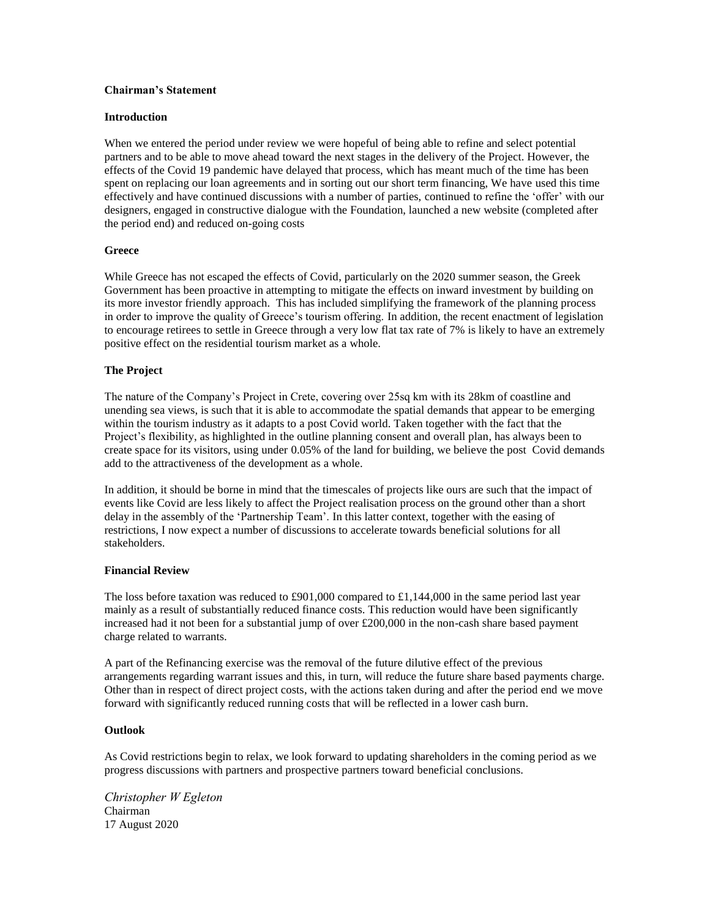## **Chairman's Statement**

#### **Introduction**

When we entered the period under review we were hopeful of being able to refine and select potential partners and to be able to move ahead toward the next stages in the delivery of the Project. However, the effects of the Covid 19 pandemic have delayed that process, which has meant much of the time has been spent on replacing our loan agreements and in sorting out our short term financing, We have used this time effectively and have continued discussions with a number of parties, continued to refine the 'offer' with our designers, engaged in constructive dialogue with the Foundation, launched a new website (completed after the period end) and reduced on-going costs

### **Greece**

While Greece has not escaped the effects of Covid, particularly on the 2020 summer season, the Greek Government has been proactive in attempting to mitigate the effects on inward investment by building on its more investor friendly approach. This has included simplifying the framework of the planning process in order to improve the quality of Greece's tourism offering. In addition, the recent enactment of legislation to encourage retirees to settle in Greece through a very low flat tax rate of 7% is likely to have an extremely positive effect on the residential tourism market as a whole.

### **The Project**

The nature of the Company's Project in Crete, covering over 25sq km with its 28km of coastline and unending sea views, is such that it is able to accommodate the spatial demands that appear to be emerging within the tourism industry as it adapts to a post Covid world. Taken together with the fact that the Project's flexibility, as highlighted in the outline planning consent and overall plan, has always been to create space for its visitors, using under 0.05% of the land for building, we believe the post Covid demands add to the attractiveness of the development as a whole.

In addition, it should be borne in mind that the timescales of projects like ours are such that the impact of events like Covid are less likely to affect the Project realisation process on the ground other than a short delay in the assembly of the 'Partnership Team'. In this latter context, together with the easing of restrictions, I now expect a number of discussions to accelerate towards beneficial solutions for all stakeholders.

#### **Financial Review**

The loss before taxation was reduced to £901,000 compared to £1,144,000 in the same period last year mainly as a result of substantially reduced finance costs. This reduction would have been significantly increased had it not been for a substantial jump of over £200,000 in the non-cash share based payment charge related to warrants.

A part of the Refinancing exercise was the removal of the future dilutive effect of the previous arrangements regarding warrant issues and this, in turn, will reduce the future share based payments charge. Other than in respect of direct project costs, with the actions taken during and after the period end we move forward with significantly reduced running costs that will be reflected in a lower cash burn.

#### **Outlook**

As Covid restrictions begin to relax, we look forward to updating shareholders in the coming period as we progress discussions with partners and prospective partners toward beneficial conclusions.

*Christopher W Egleton* Chairman 17 August 2020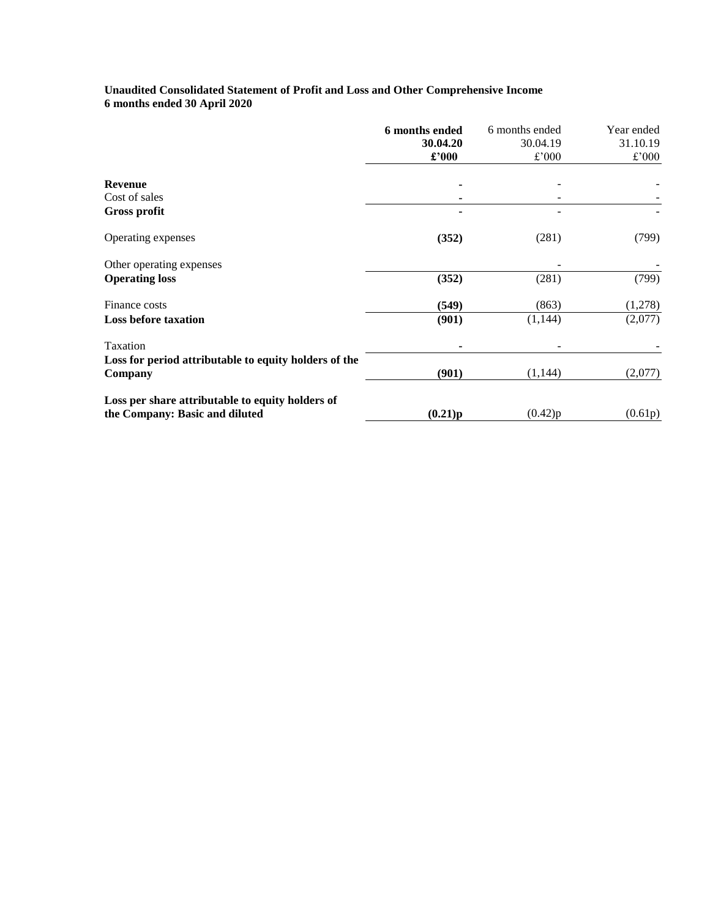# **Unaudited Consolidated Statement of Profit and Loss and Other Comprehensive Income 6 months ended 30 April 2020**

|                                                       | 6 months ended | 6 months ended | Year ended |
|-------------------------------------------------------|----------------|----------------|------------|
|                                                       | 30.04.20       | 30.04.19       | 31.10.19   |
|                                                       | $\pounds$ '000 | £'000          | £'000      |
| <b>Revenue</b>                                        |                |                |            |
| Cost of sales                                         |                |                |            |
| <b>Gross profit</b>                                   |                |                |            |
| Operating expenses                                    | (352)          | (281)          | (799)      |
| Other operating expenses                              |                |                |            |
| <b>Operating loss</b>                                 | (352)          | (281)          | (799)      |
| Finance costs                                         | (549)          | (863)          | (1,278)    |
| <b>Loss before taxation</b>                           | (901)          | (1, 144)       | (2,077)    |
| Taxation                                              |                |                |            |
| Loss for period attributable to equity holders of the |                |                |            |
| Company                                               | (901)          | (1,144)        | (2,077)    |
| Loss per share attributable to equity holders of      |                |                |            |
| the Company: Basic and diluted                        | (0.21)p        | (0.42)p        | (0.61p)    |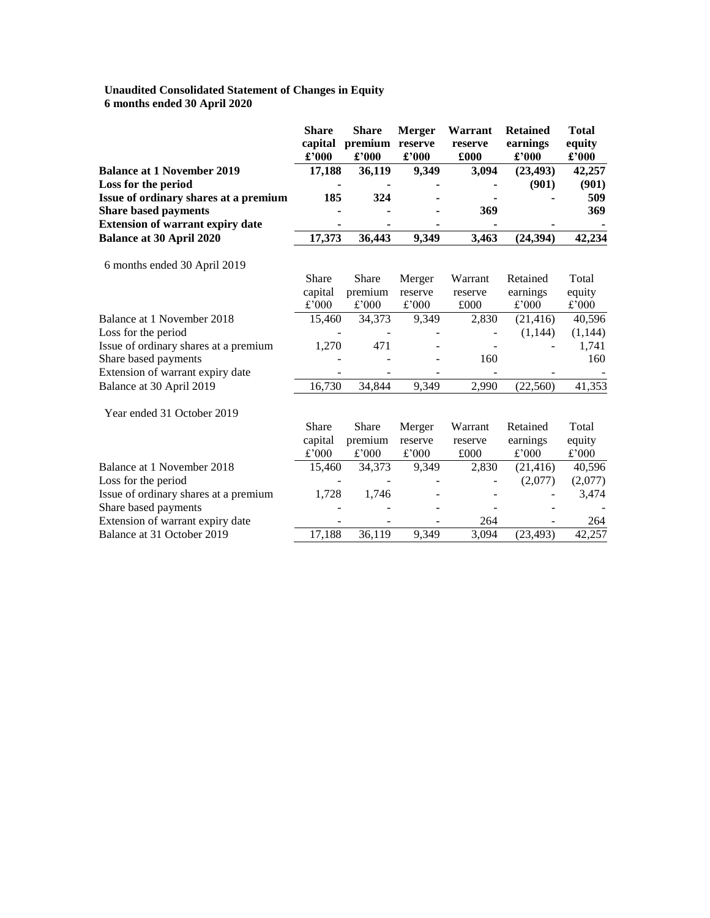### **Unaudited Consolidated Statement of Changes in Equity 6 months ended 30 April 2020**

|                                         | <b>Share</b><br>capital<br>£'000 | <b>Share</b><br>premium<br>£'000 | <b>Merger</b><br>reserve<br>£'000 | Warrant<br>reserve<br>£000 | <b>Retained</b><br>earnings<br>$\pounds$ '000 | <b>Total</b><br>equity<br>$\pounds$ '000 |
|-----------------------------------------|----------------------------------|----------------------------------|-----------------------------------|----------------------------|-----------------------------------------------|------------------------------------------|
| <b>Balance at 1 November 2019</b>       | 17,188                           | 36,119                           | 9,349                             | 3,094                      | (23, 493)                                     | 42,257                                   |
| Loss for the period                     |                                  |                                  |                                   |                            | (901)                                         | (901)                                    |
| Issue of ordinary shares at a premium   | 185                              | 324                              |                                   |                            |                                               | 509                                      |
| <b>Share based payments</b>             |                                  |                                  |                                   | 369                        |                                               | 369                                      |
| <b>Extension of warrant expiry date</b> |                                  |                                  |                                   |                            |                                               |                                          |
| <b>Balance at 30 April 2020</b>         | 17,373                           | 36,443                           | 9,349                             | 3,463                      | (24, 394)                                     | 42,234                                   |
| 6 months ended 30 April 2019            |                                  |                                  |                                   |                            |                                               |                                          |
|                                         | Share                            | <b>Share</b>                     | Merger                            | Warrant                    | Retained                                      | Total                                    |
|                                         | capital                          | premium                          | reserve                           | reserve                    | earnings                                      | equity                                   |
|                                         | £'000                            | £'000                            | £'000                             | £000                       | £'000                                         | £'000                                    |
| Balance at 1 November 2018              | 15,460                           | 34,373                           | 9,349                             | 2,830                      | (21, 416)                                     | 40,596                                   |
| Loss for the period                     |                                  |                                  |                                   |                            | (1,144)                                       | (1,144)                                  |
| Issue of ordinary shares at a premium   | 1,270                            | 471                              |                                   |                            |                                               | 1,741                                    |
| Share based payments                    |                                  |                                  |                                   | 160                        |                                               | 160                                      |
| Extension of warrant expiry date        |                                  |                                  |                                   |                            |                                               |                                          |
| Balance at 30 April 2019                | 16,730                           | 34,844                           | 9,349                             | 2,990                      | (22, 560)                                     | 41,353                                   |
| Year ended 31 October 2019              |                                  |                                  |                                   |                            |                                               |                                          |
|                                         | Share                            | Share                            | Merger                            | Warrant                    | Retained                                      | Total                                    |
|                                         | capital                          | premium                          | reserve                           | reserve                    | earnings                                      | equity                                   |
|                                         | £'000                            | £'000                            | $\pounds$ '000                    | £000                       | £'000                                         | £'000                                    |
| Balance at 1 November 2018              | 15,460                           | 34,373                           | 9,349                             | 2,830                      | (21, 416)                                     | 40,596                                   |
| Loss for the period                     |                                  |                                  |                                   |                            | (2,077)                                       | (2,077)                                  |
| Issue of ordinary shares at a premium   | 1,728                            | 1,746                            |                                   |                            |                                               | 3,474                                    |
| Share based payments                    |                                  |                                  |                                   |                            |                                               |                                          |
| Extension of warrant expiry date        |                                  |                                  |                                   | 264                        |                                               | 264                                      |
| Balance at 31 October 2019              | 17,188                           | 36,119                           | 9,349                             | 3,094                      | (23, 493)                                     | 42,257                                   |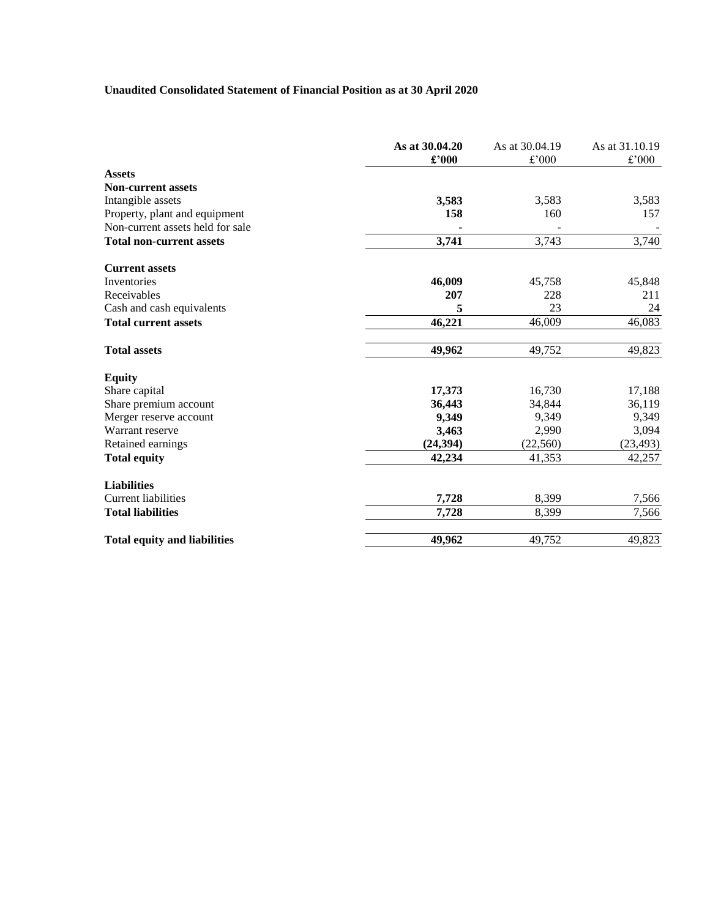# **Unaudited Consolidated Statement of Financial Position as at 30 April 2020**

|                                     | As at 30.04.20<br>£'000 | As at 30.04.19<br>£'000 | As at 31.10.19<br>£'000 |
|-------------------------------------|-------------------------|-------------------------|-------------------------|
| <b>Assets</b>                       |                         |                         |                         |
| <b>Non-current assets</b>           |                         |                         |                         |
| Intangible assets                   | 3,583                   | 3,583                   | 3,583                   |
| Property, plant and equipment       | 158                     | 160                     | 157                     |
| Non-current assets held for sale    |                         |                         |                         |
| <b>Total non-current assets</b>     | 3,741                   | 3,743                   | 3,740                   |
| <b>Current assets</b>               |                         |                         |                         |
| Inventories                         | 46,009                  | 45,758                  | 45,848                  |
| Receivables                         | 207                     | 228                     | 211                     |
| Cash and cash equivalents           | 5                       | 23                      | 24                      |
| <b>Total current assets</b>         | 46,221                  | 46,009                  | 46,083                  |
| <b>Total assets</b>                 | 49,962                  | 49,752                  | 49,823                  |
| <b>Equity</b>                       |                         |                         |                         |
| Share capital                       | 17,373                  | 16,730                  | 17,188                  |
| Share premium account               | 36,443                  | 34,844                  | 36,119                  |
| Merger reserve account              | 9,349                   | 9,349                   | 9,349                   |
| Warrant reserve                     | 3,463                   | 2,990                   | 3,094                   |
| Retained earnings                   | (24, 394)               | (22, 560)               | (23, 493)               |
| <b>Total equity</b>                 | 42,234                  | 41,353                  | 42,257                  |
| <b>Liabilities</b>                  |                         |                         |                         |
| <b>Current liabilities</b>          | 7,728                   | 8,399                   | 7,566                   |
| <b>Total liabilities</b>            | 7,728                   | 8,399                   | 7,566                   |
| <b>Total equity and liabilities</b> | 49,962                  | 49,752                  | 49,823                  |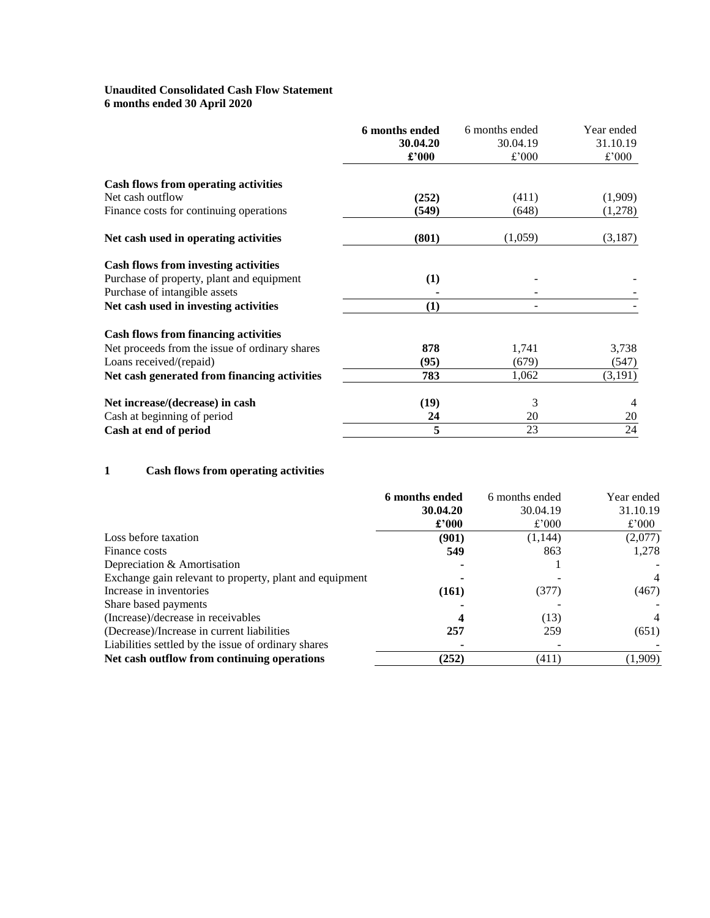# **Unaudited Consolidated Cash Flow Statement 6 months ended 30 April 2020**

|                                                | 6 months ended | 6 months ended | Year ended |
|------------------------------------------------|----------------|----------------|------------|
|                                                | 30.04.20       | 30.04.19       | 31.10.19   |
|                                                | £'000          | £'000          | £'000      |
| <b>Cash flows from operating activities</b>    |                |                |            |
| Net cash outflow                               | (252)          | (411)          | (1,909)    |
| Finance costs for continuing operations        | (549)          | (648)          | (1,278)    |
| Net cash used in operating activities          | (801)          | (1,059)        | (3,187)    |
| <b>Cash flows from investing activities</b>    |                |                |            |
| Purchase of property, plant and equipment      | (1)            |                |            |
| Purchase of intangible assets                  |                |                |            |
| Net cash used in investing activities          | (1)            |                |            |
| <b>Cash flows from financing activities</b>    |                |                |            |
| Net proceeds from the issue of ordinary shares | 878            | 1,741          | 3,738      |
| Loans received/(repaid)                        | (95)           | (679)          | (547)      |
| Net cash generated from financing activities   | 783            | 1,062          | (3,191)    |
| Net increase/(decrease) in cash                | (19)           | 3              |            |
| Cash at beginning of period                    | 24             | 20             | 20         |
| Cash at end of period                          | 5              | 23             | 24         |

# **1 Cash flows from operating activities**

|                                                         | 6 months ended | 6 months ended | Year ended     |
|---------------------------------------------------------|----------------|----------------|----------------|
|                                                         | 30.04.20       | 30.04.19       | 31.10.19       |
|                                                         | $\pounds$ '000 | £'000          | £'000          |
| Loss before taxation                                    | (901)          | (1,144)        | (2,077)        |
| Finance costs                                           | 549            | 863            | 1,278          |
| Depreciation & Amortisation                             |                |                |                |
| Exchange gain relevant to property, plant and equipment |                |                | $\overline{4}$ |
| Increase in inventories                                 | (161)          | (377)          | (467)          |
| Share based payments                                    |                |                |                |
| (Increase)/decrease in receivables                      |                | (13)           | $\overline{4}$ |
| (Decrease)/Increase in current liabilities              | 257            | 259            | (651)          |
| Liabilities settled by the issue of ordinary shares     |                |                |                |
| Net cash outflow from continuing operations             | (252)          | (411)          | (1,909)        |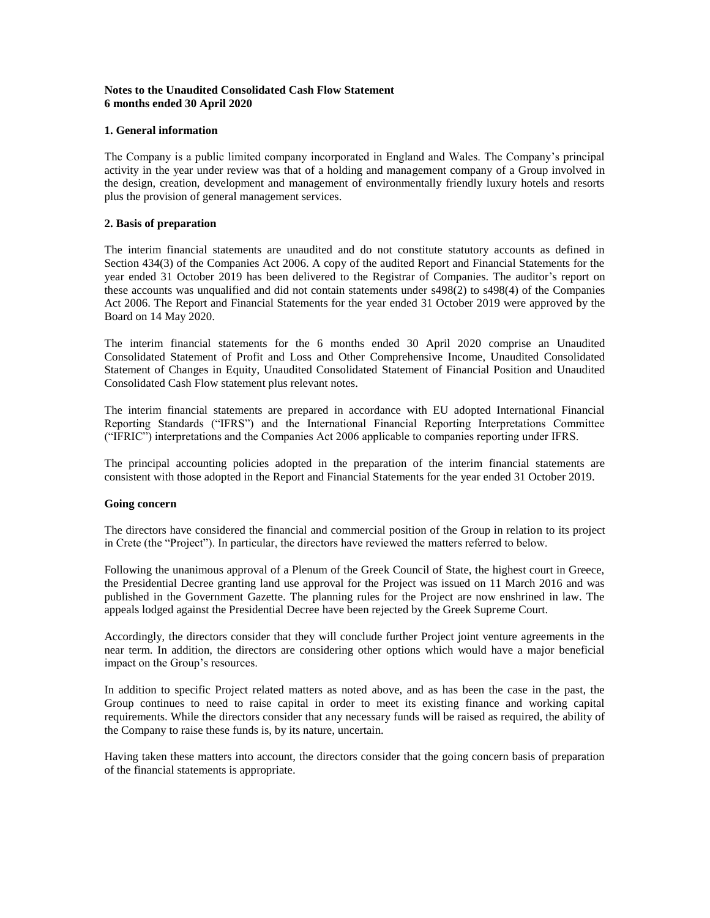# **Notes to the Unaudited Consolidated Cash Flow Statement 6 months ended 30 April 2020**

# **1. General information**

The Company is a public limited company incorporated in England and Wales. The Company's principal activity in the year under review was that of a holding and management company of a Group involved in the design, creation, development and management of environmentally friendly luxury hotels and resorts plus the provision of general management services.

## **2. Basis of preparation**

The interim financial statements are unaudited and do not constitute statutory accounts as defined in Section 434(3) of the Companies Act 2006. A copy of the audited Report and Financial Statements for the year ended 31 October 2019 has been delivered to the Registrar of Companies. The auditor's report on these accounts was unqualified and did not contain statements under s498(2) to s498(4) of the Companies Act 2006. The Report and Financial Statements for the year ended 31 October 2019 were approved by the Board on 14 May 2020.

The interim financial statements for the 6 months ended 30 April 2020 comprise an Unaudited Consolidated Statement of Profit and Loss and Other Comprehensive Income, Unaudited Consolidated Statement of Changes in Equity, Unaudited Consolidated Statement of Financial Position and Unaudited Consolidated Cash Flow statement plus relevant notes.

The interim financial statements are prepared in accordance with EU adopted International Financial Reporting Standards ("IFRS") and the International Financial Reporting Interpretations Committee ("IFRIC") interpretations and the Companies Act 2006 applicable to companies reporting under IFRS.

The principal accounting policies adopted in the preparation of the interim financial statements are consistent with those adopted in the Report and Financial Statements for the year ended 31 October 2019.

### **Going concern**

The directors have considered the financial and commercial position of the Group in relation to its project in Crete (the "Project"). In particular, the directors have reviewed the matters referred to below.

Following the unanimous approval of a Plenum of the Greek Council of State, the highest court in Greece, the Presidential Decree granting land use approval for the Project was issued on 11 March 2016 and was published in the Government Gazette. The planning rules for the Project are now enshrined in law. The appeals lodged against the Presidential Decree have been rejected by the Greek Supreme Court.

Accordingly, the directors consider that they will conclude further Project joint venture agreements in the near term. In addition, the directors are considering other options which would have a major beneficial impact on the Group's resources.

In addition to specific Project related matters as noted above, and as has been the case in the past, the Group continues to need to raise capital in order to meet its existing finance and working capital requirements. While the directors consider that any necessary funds will be raised as required, the ability of the Company to raise these funds is, by its nature, uncertain.

Having taken these matters into account, the directors consider that the going concern basis of preparation of the financial statements is appropriate.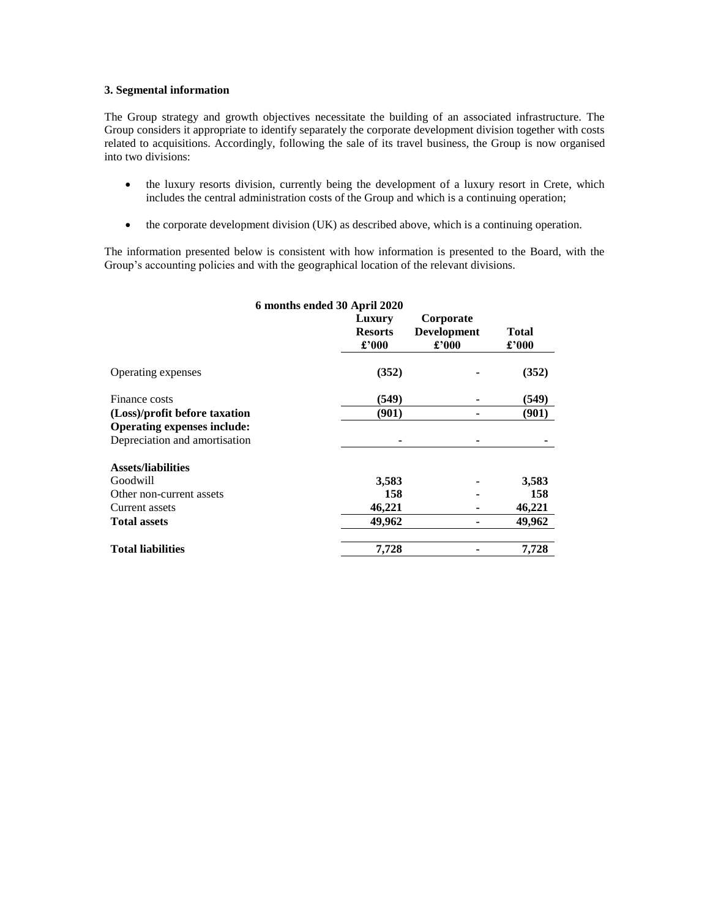## **3. Segmental information**

The Group strategy and growth objectives necessitate the building of an associated infrastructure. The Group considers it appropriate to identify separately the corporate development division together with costs related to acquisitions. Accordingly, following the sale of its travel business, the Group is now organised into two divisions:

- the luxury resorts division, currently being the development of a luxury resort in Crete, which includes the central administration costs of the Group and which is a continuing operation;
- the corporate development division (UK) as described above, which is a continuing operation.

The information presented below is consistent with how information is presented to the Board, with the Group's accounting policies and with the geographical location of the relevant divisions.

|                                    | 6 months ended 30 April 2020      |                                          |                       |
|------------------------------------|-----------------------------------|------------------------------------------|-----------------------|
|                                    | Luxury<br><b>Resorts</b><br>£'000 | Corporate<br><b>Development</b><br>£'000 | <b>Total</b><br>£'000 |
|                                    |                                   |                                          |                       |
| Operating expenses                 | (352)                             |                                          | (352)                 |
| Finance costs                      | (549)                             |                                          | (549)                 |
| (Loss)/profit before taxation      | (901)                             |                                          | (901)                 |
| <b>Operating expenses include:</b> |                                   |                                          |                       |
| Depreciation and amortisation      |                                   |                                          |                       |
| <b>Assets/liabilities</b>          |                                   |                                          |                       |
| Goodwill                           | 3,583                             |                                          | 3,583                 |
| Other non-current assets           | 158                               |                                          | 158                   |
| Current assets                     | 46,221                            |                                          | 46,221                |
| <b>Total assets</b>                | 49,962                            |                                          | 49,962                |
| <b>Total liabilities</b>           | 7,728                             |                                          | 7,728                 |
|                                    |                                   |                                          |                       |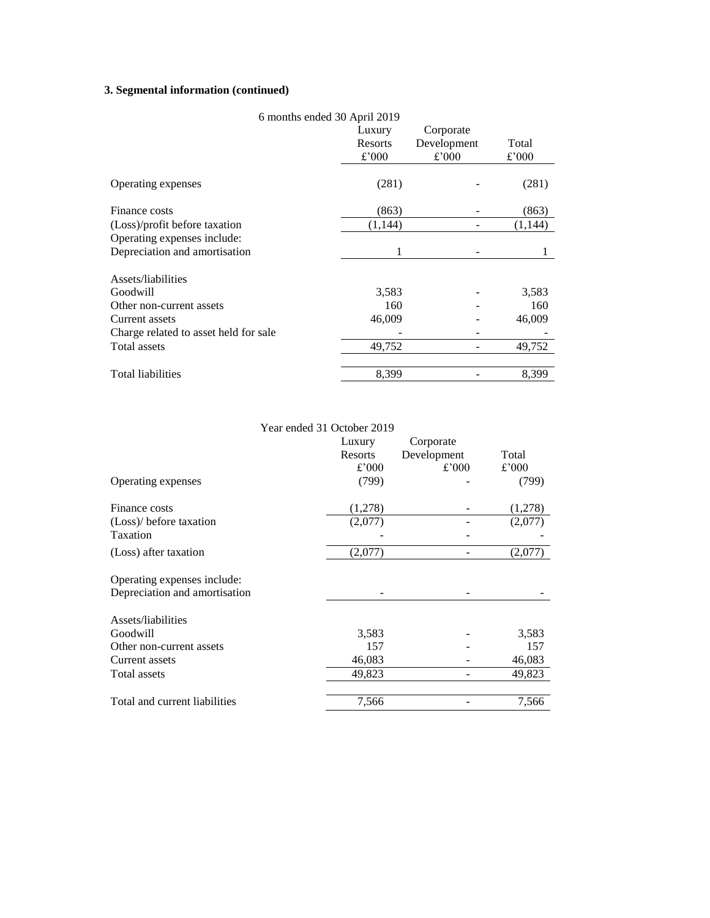# **3. Segmental information (continued)**

| 6 months ended 30 April 2019          |         |             |         |
|---------------------------------------|---------|-------------|---------|
|                                       | Luxury  | Corporate   |         |
|                                       | Resorts | Development | Total   |
|                                       | £'000   | £'000       | £'000   |
|                                       |         |             |         |
| Operating expenses                    | (281)   |             | (281)   |
| Finance costs                         |         |             |         |
|                                       | (863)   |             | (863)   |
| (Loss)/profit before taxation         | (1,144) |             | (1,144) |
| Operating expenses include:           |         |             |         |
| Depreciation and amortisation         | 1       |             |         |
| Assets/liabilities                    |         |             |         |
|                                       |         |             |         |
| Goodwill                              | 3,583   |             | 3,583   |
| Other non-current assets              | 160     |             | 160     |
| Current assets                        | 46,009  |             | 46,009  |
| Charge related to asset held for sale |         |             |         |
| <b>Total assets</b>                   | 49,752  |             | 49,752  |
|                                       |         |             |         |
| Total liabilities                     | 8,399   |             | 8,399   |

Year ended 31 October 2019 Luxury Resorts Corporate Development Total<br>  $\text{\textsterling}^2000$  Total £'000 £'000 £'000 Operating expenses (799) (799) Finance costs (1,278) (1,278) (Loss)/ before taxation (2,077) - (2,077) Taxation - - -  $(Loss)$  after taxation  $(2,077)$   $(2,077)$ Operating expenses include: Depreciation and amortisation - - - Assets/liabilities Goodwill 3,583 - 3,583 Other non-current assets 157 and 157 and 157 and 157 and 157 and 157 and 157 and 157 and 157 and 157 and 157 and 157 and 157 and 157 and 157 and 157 and 157 and 157 and 157 and 157 and 157 and 157 and 157 and 157 and 157 a Current assets 46,083 - 46,083 Total assets 49,823 - 49,823 Total and current liabilities 7,566 7,566 7,566